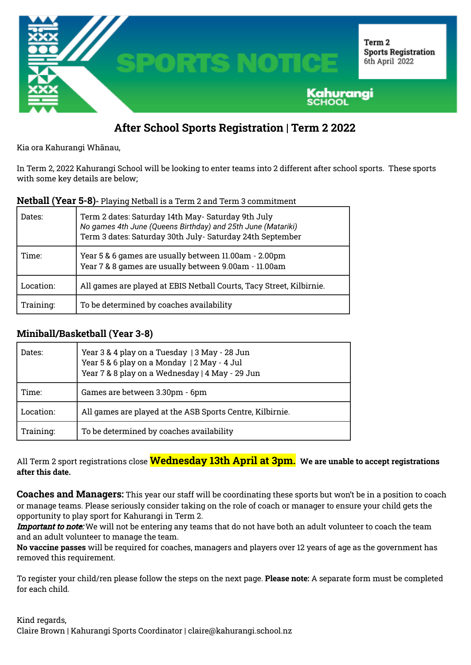

## **After School Sports Registration | Term 2 2022**

Kia ora Kahurangi Whānau,

In Term 2, 2022 Kahurangi School will be looking to enter teams into 2 different after school sports. These sports with some key details are below;

| Dates:    | Term 2 dates: Saturday 14th May- Saturday 9th July<br>No games 4th June (Queens Birthday) and 25th June (Matariki)<br>Term 3 dates: Saturday 30th July- Saturday 24th September |
|-----------|---------------------------------------------------------------------------------------------------------------------------------------------------------------------------------|
| Time:     | Year 5 & 6 games are usually between 11.00am - 2.00pm<br>Year 7 & 8 games are usually between 9.00am - 11.00am                                                                  |
| Location: | All games are played at EBIS Netball Courts, Tacy Street, Kilbirnie.                                                                                                            |
| Training: | To be determined by coaches availability                                                                                                                                        |

## **Miniball/Basketball (Year 3-8)**

| Dates:    | Year 3 & 4 play on a Tuesday   3 May - 28 Jun<br>Year 5 & 6 play on a Monday   2 May - 4 Jul<br>Year 7 & 8 play on a Wednesday   4 May - 29 Jun |  |
|-----------|-------------------------------------------------------------------------------------------------------------------------------------------------|--|
| Time:     | Games are between 3.30pm - 6pm                                                                                                                  |  |
| Location: | All games are played at the ASB Sports Centre, Kilbirnie.                                                                                       |  |
| Training: | To be determined by coaches availability                                                                                                        |  |

All Term 2 sport registrations close **Wednesday 13th April at 3pm. We are unable to accept registrations after this date.**

**Coaches and Managers:** This year our staff will be coordinating these sports but won't be in a position to coach or manage teams. Please seriously consider taking on the role of coach or manager to ensure your child gets the opportunity to play sport for Kahurangi in Term 2.

Important to note: We will not be entering any teams that do not have both an adult volunteer to coach the team and an adult volunteer to manage the team.

**No vaccine passes** will be required for coaches, managers and players over 12 years of age as the government has removed this requirement.

To register your child/ren please follow the steps on the next page. **Please note:** A separate form must be completed for each child.